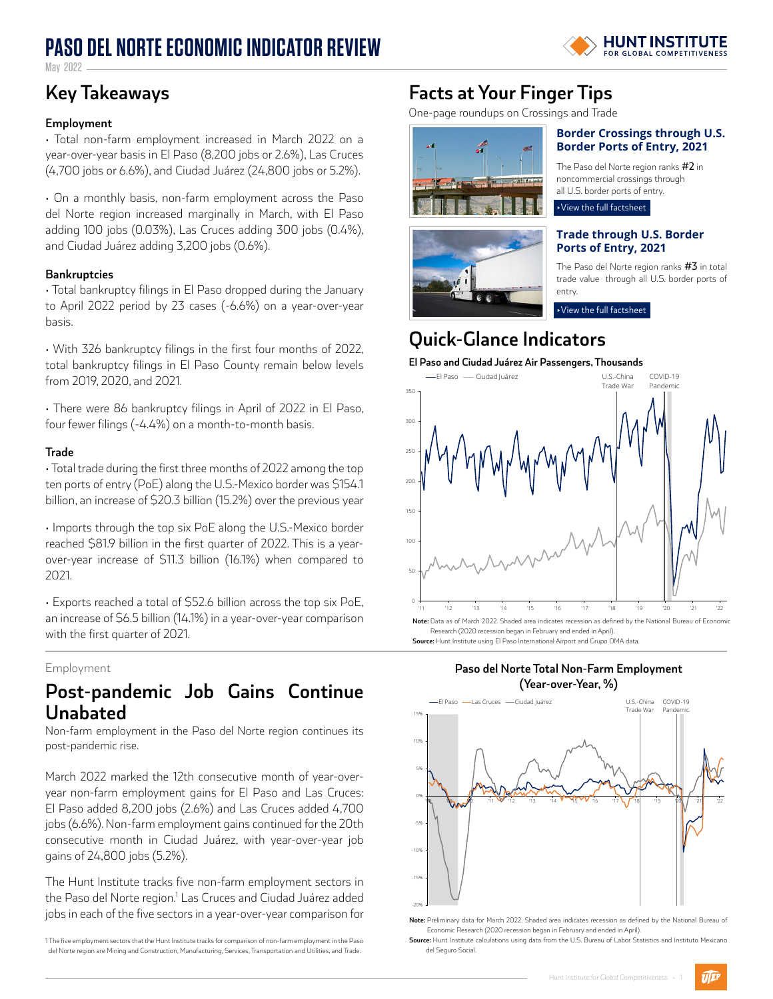# **PASO DEL NORTE ECONOMIC INDICATOR REVIEW**



May 2022

## **Key Takeaways**

### **Employment**

• Total non-farm employment increased in March 2022 on a year-over-year basis in El Paso (8,200 jobs or 2.6%), Las Cruces (4,700 jobs or 6.6%), and Ciudad Juárez (24,800 jobs or 5.2%).

• On a monthly basis, non-farm employment across the Paso del Norte region increased marginally in March, with El Paso adding 100 jobs (0.03%), Las Cruces adding 300 jobs (0.4%), and Ciudad Juárez adding 3,200 jobs (0.6%).

### **Bankruptcies**

• Total bankruptcy filings in El Paso dropped during the January to April 2022 period by 23 cases (-6.6%) on a year-over-year basis.

• With 326 bankruptcy filings in the first four months of 2022, total bankruptcy filings in El Paso County remain below levels from 2019, 2020, and 2021.

• There were 86 bankruptcy filings in April of 2022 in El Paso, four fewer filings (-4.4%) on a month-to-month basis.

### **Trade**

• Total trade during the first three months of 2022 among the top ten ports of entry (PoE) along the U.S.-Mexico border was \$154.1 billion, an increase of \$20.3 billion (15.2%) over the previous year

• Imports through the top six PoE along the U.S.-Mexico border reached \$81.9 billion in the first quarter of 2022. This is a yearover-year increase of \$11.3 billion (16.1%) when compared to 2021.

• Exports reached a total of \$52.6 billion across the top six PoE, an increase of \$6.5 billion (14.1%) in a year-over-year comparison with the first quarter of 2021.

### Employment

### **Post-pandemic Job Gains Continue Unabated**

Non-farm employment in the Paso del Norte region continues its post-pandemic rise.

March 2022 marked the 12th consecutive month of year-overyear non-farm employment gains for El Paso and Las Cruces: El Paso added 8,200 jobs (2.6%) and Las Cruces added 4,700 jobs (6.6%). Non-farm employment gains continued for the 20th consecutive month in Ciudad Juárez, with year-over-year job gains of 24,800 jobs (5.2%).

The Hunt Institute tracks five non-farm employment sectors in the Paso del Norte region.<sup>1</sup> Las Cruces and Ciudad Juárez added jobs in each of the five sectors in a year-over-year comparison for

1The five employment sectors that the Hunt Institute tracks for comparison of non-farm employment in the Paso del Norte region are Mining and Construction, Manufacturing, Services, Transportation and Utilities, and Trade.

## **Facts at Your Finger Tips**

One-page roundups on Crossings and Trade





### **[Border Crossings through U.S.](https://www.utep.edu/hunt-institute/_Files/docs/Border%20Crossings%20Fact%20Sheet_05092022.pdf)  [Border Ports of Entry, 2021](https://www.utep.edu/hunt-institute/_Files/docs/Border%20Crossings%20Fact%20Sheet_05092022.pdf)**

The Paso del Norte region ranks #2 in noncommercial crossings through all U.S. border ports of entry.

### ‣[View the full factsheet](https://www.utep.edu/hunt-institute/_Files/docs/Border%20Crossings%20Fact%20Sheet_05092022.pdf)

### **[Trade through U.S. Border](https://www.utep.edu/hunt-institute/_Files/docs/Commodities%20Fact%20Sheet_05092022.pdf) [Ports of Entry, 2021](https://www.utep.edu/hunt-institute/_Files/docs/Commodities%20Fact%20Sheet_05092022.pdf)**

The Paso del Norte region ranks #3 in total trade value through all U.S. border ports of entry.

‣[View the full factsheet](https://www.utep.edu/hunt-institute/_Files/docs/Commodities%20Fact%20Sheet_05092022.pdf)

## **Quick-Glance Indicators**

### **El Paso and Ciudad Juárez Air Passengers, Thousands**







**Note:** Preliminary data for March 2022. Shaded area indicates recession as defined by the National Bureau of Economic Research (2020 recession began in February and ended in April).

**Source:** Hunt Institute calculations using data from the U.S. Bureau of Labor Statistics and Instituto Mexicano del Seguro Social.

 $\widehat{w}$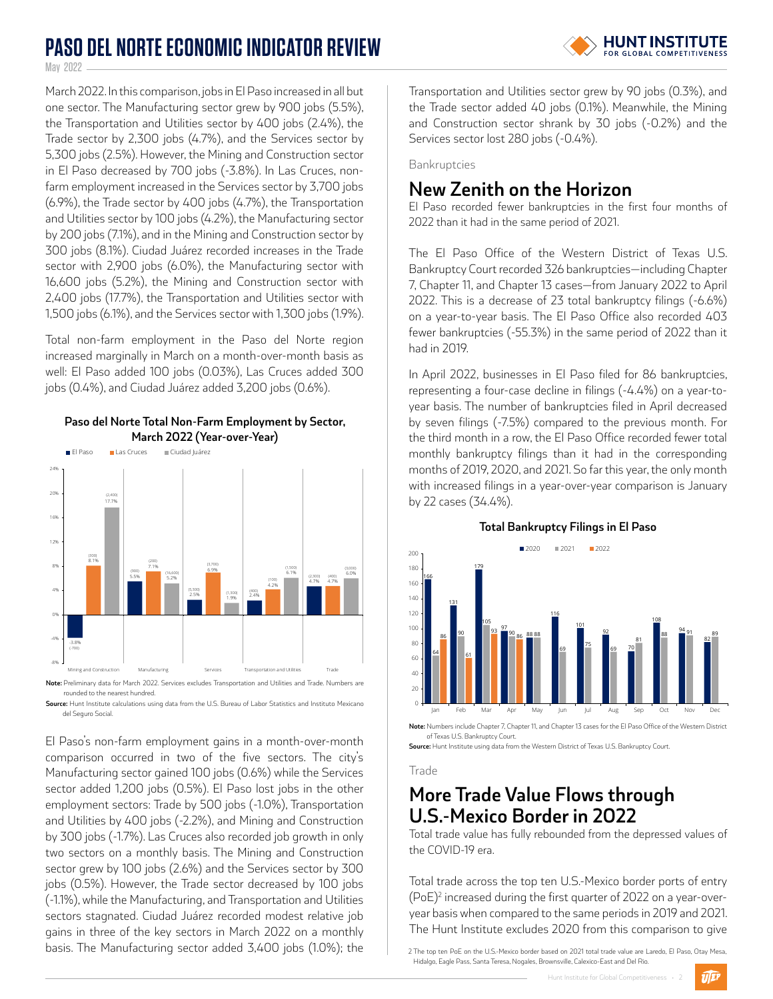## **PASO DEL NORTE ECONOMIC INDICATOR REVIEW**



May 2022 -

March 2022. In this comparison, jobs in El Paso increased in all but one sector. The Manufacturing sector grew by 900 jobs (5.5%), the Transportation and Utilities sector by 400 jobs (2.4%), the Trade sector by 2,300 jobs (4.7%), and the Services sector by 5,300 jobs (2.5%). However, the Mining and Construction sector in El Paso decreased by 700 jobs (-3.8%). In Las Cruces, nonfarm employment increased in the Services sector by 3,700 jobs (6.9%), the Trade sector by 400 jobs (4.7%), the Transportation and Utilities sector by 100 jobs (4.2%), the Manufacturing sector by 200 jobs (7.1%), and in the Mining and Construction sector by 300 jobs (8.1%). Ciudad Juárez recorded increases in the Trade sector with 2,900 jobs (6.0%), the Manufacturing sector with 16,600 jobs (5.2%), the Mining and Construction sector with 2,400 jobs (17.7%), the Transportation and Utilities sector with 1,500 jobs (6.1%), and the Services sector with 1,300 jobs (1.9%).

Total non-farm employment in the Paso del Norte region increased marginally in March on a month-over-month basis as well: El Paso added 100 jobs (0.03%), Las Cruces added 300 jobs (0.4%), and Ciudad Juárez added 3,200 jobs (0.6%).



### **Paso del Norte Total Non-Farm Employment by Sector, March 2022 (Year-over-Year)**

rounded to the nearest hundred. **Source:** Hunt Institute calculations using data from the U.S. Bureau of Labor Statistics and Instituto Mexicano

del Seguro Social.

El Paso's non-farm employment gains in a month-over-month comparison occurred in two of the five sectors. The city's Manufacturing sector gained 100 jobs (0.6%) while the Services sector added 1,200 jobs (0.5%). El Paso lost jobs in the other employment sectors: Trade by 500 jobs (-1.0%), Transportation and Utilities by 400 jobs (-2.2%), and Mining and Construction by 300 jobs (-1.7%). Las Cruces also recorded job growth in only two sectors on a monthly basis. The Mining and Construction sector grew by 100 jobs (2.6%) and the Services sector by 300 jobs (0.5%). However, the Trade sector decreased by 100 jobs (-1.1%), while the Manufacturing, and Transportation and Utilities sectors stagnated. Ciudad Juárez recorded modest relative job gains in three of the key sectors in March 2022 on a monthly basis. The Manufacturing sector added 3,400 jobs (1.0%); the

Transportation and Utilities sector grew by 90 jobs (0.3%), and the Trade sector added 40 jobs (0.1%). Meanwhile, the Mining and Construction sector shrank by 30 jobs (-0.2%) and the Services sector lost 280 jobs (-0.4%).

Bankruptcies

### **New Zenith on the Horizon**

El Paso recorded fewer bankruptcies in the first four months of 2022 than it had in the same period of 2021.

The El Paso Office of the Western District of Texas U.S. Bankruptcy Court recorded 326 bankruptcies—including Chapter 7, Chapter 11, and Chapter 13 cases—from January 2022 to April 2022. This is a decrease of 23 total bankruptcy filings (-6.6%) on a year-to-year basis. The El Paso Office also recorded 403 fewer bankruptcies (-55.3%) in the same period of 2022 than it had in 2019.

In April 2022, businesses in El Paso filed for 86 bankruptcies, representing a four-case decline in filings (-4.4%) on a year-toyear basis. The number of bankruptcies filed in April decreased by seven filings (-7.5%) compared to the previous month. For the third month in a row, the El Paso Office recorded fewer total monthly bankruptcy filings than it had in the corresponding months of 2019, 2020, and 2021. So far this year, the only month with increased filings in a year-over-year comparison is January by 22 cases (34.4%).



**Total Bankruptcy Filings in El Paso**

**Note:** Numbers include Chapter 7, Chapter 11, and Chapter 13 cases for the El Paso Office of the Western District of Texas U.S. Bankruptcy Court.

**Source:** Hunt Institute using data from the Western District of Texas U.S. Bankruptcy Court.

### Trade

## **More Trade Value Flows through U.S.-Mexico Border in 2022**

Total trade value has fully rebounded from the depressed values of the COVID-19 era.

Total trade across the top ten U.S.-Mexico border ports of entry (PoE)2 increased during the first quarter of 2022 on a year-overyear basis when compared to the same periods in 2019 and 2021. The Hunt Institute excludes 2020 from this comparison to give

2 The top ten PoE on the U.S.-Mexico border based on 2021 total trade value are Laredo, El Paso, Otay Mesa, Hidalgo, Eagle Pass, Santa Teresa, Nogales, Brownsville, Calexico-East and Del Rio.